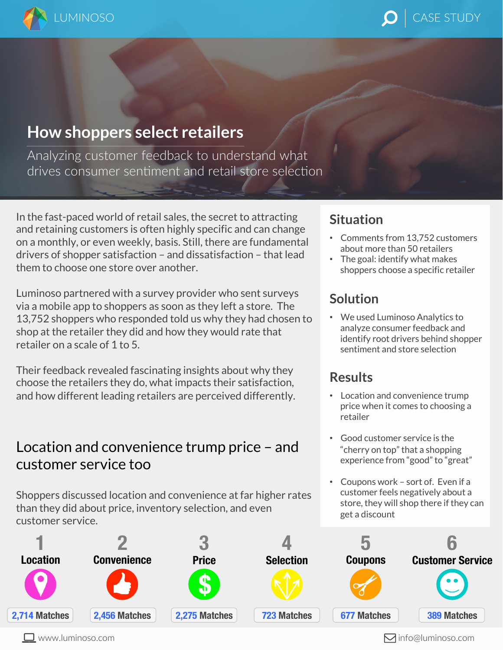

## LUMINOSO And the contract of the case of  $\bigcirc$   $\bigcirc$   $\bigcirc$  is case study.

# **How shoppers select retailers**

Analyzing customer feedback to understand what drives consumer sentiment and retail store selection

In the fast-paced world of retail sales, the secret to attracting and retaining customers is often highly specific and can change on a monthly, or even weekly, basis. Still, there are fundamental drivers of shopper satisfaction – and dissatisfaction – that lead them to choose one store over another.

Luminoso partnered with a survey provider who sent surveys via a mobile app to shoppers as soon as they left a store. The 13,752 shoppers who responded told us why they had chosen to shop at the retailer they did and how they would rate that retailer on a scale of 1 to 5.

Their feedback revealed fascinating insights about why they choose the retailers they do, what impacts their satisfaction, and how different leading retailers are perceived differently.

#### Location and convenience trump price – and customer service too

Shoppers discussed location and convenience at far higher rates than they did about price, inventory selection, and even customer service.

## **Situation**

- Comments from 13,752 customers about more than 50 retailers
- The goal: identify what makes shoppers choose a specific retailer

#### **Solution**

• We used Luminoso Analytics to analyze consumer feedback and identify root drivers behind shopper sentiment and store selection

#### **Results**

- Location and convenience trump price when it comes to choosing a retailer
- Good customer service is the "cherry on top" that a shopping experience from "good" to "great"
- Coupons work sort of. Even if a customer feels negatively about a store, they will shop there if they can get a discount

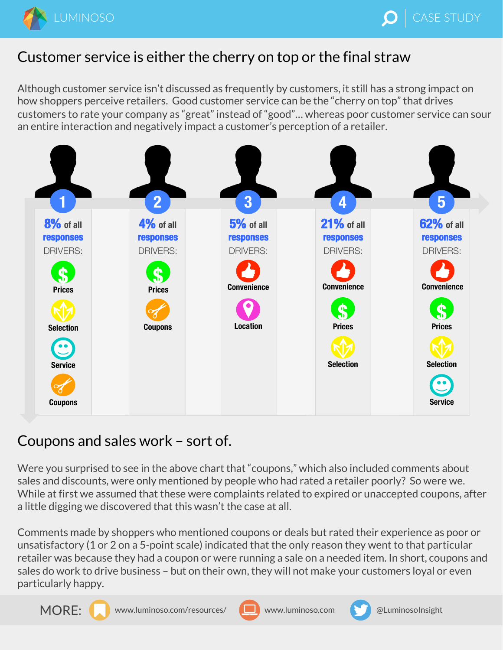

## Customer service is either the cherry on top or the final straw

Although customer service isn't discussed as frequently by customers, it still has a strong impact on how shoppers perceive retailers. Good customer service can be the "cherry on top" that drives customers to rate your company as "great" instead of "good"… whereas poor customer service can sour an entire interaction and negatively impact a customer's perception of a retailer.



## Coupons and sales work – sort of.

Were you surprised to see in the above chart that "coupons," which also included comments about sales and discounts, were only mentioned by people who had rated a retailer poorly? So were we. While at first we assumed that these were complaints related to expired or unaccepted coupons, after a little digging we discovered that this wasn't the case at all.

Comments made by shoppers who mentioned coupons or deals but rated their experience as poor or unsatisfactory (1 or 2 on a 5-point scale) indicated that the only reason they went to that particular retailer was because they had a coupon or were running a sale on a needed item. In short, coupons and sales do work to drive business – but on their own, they will not make your customers loyal or even particularly happy.







www.luminoso.com **@LuminosoInsight**